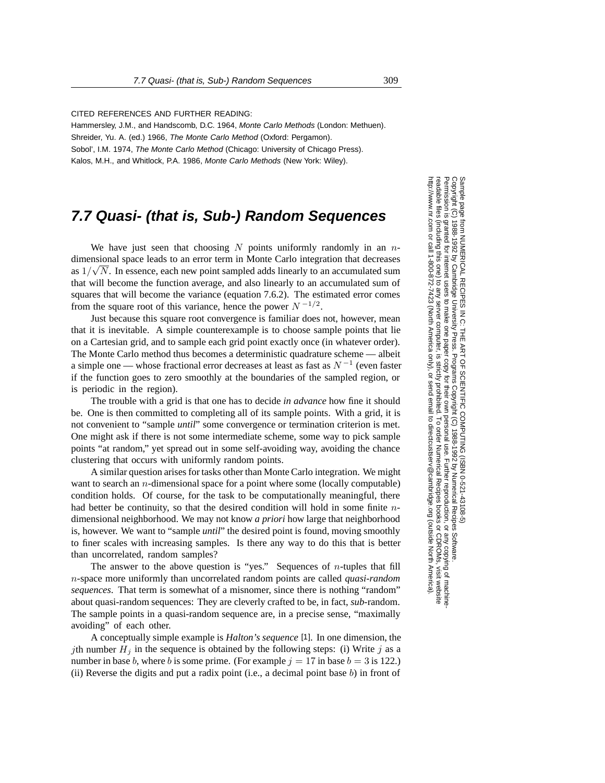Hammersley, J.M., and Handscomb, D.C. 1964, Monte Carlo Methods (London: Methuen).

Shreider, Yu. A. (ed.) 1966, The Monte Carlo Method (Oxford: Pergamon).

Sobol', I.M. 1974, The Monte Carlo Method (Chicago: University of Chicago Press).

Kalos, M.H., and Whitlock, P.A. 1986, Monte Carlo Methods (New York: Wiley).

## **7.7 Quasi- (that is, Sub-) Random Sequences**

We have just seen that choosing *N* points uniformly randomly in an *n*dimensional space leads to an error term in Monte Carlo integration that decreases as  $1/\sqrt{N}$ . In essence, each new point sampled adds linearly to an accumulated sum that will become the function average, and also linearly to an accumulated sum of squares that will become the variance (equation 7.6.2). The estimated error comes from the square root of this variance, hence the power  $N^{-1/2}$ .

Just because this square root convergence is familiar does not, however, mean that it is inevitable. A simple counterexample is to choose sample points that lie on a Cartesian grid, and to sample each grid point exactly once (in whatever order). The Monte Carlo method thus becomes a deterministic quadrature scheme — albeit a simple one — whose fractional error decreases at least as fast as *N <sup>−</sup>*<sup>1</sup> (even faster if the function goes to zero smoothly at the boundaries of the sampled region, or is periodic in the region).

The trouble with a grid is that one has to decide *in advance* how fine it should be. One is then committed to completing all of its sample points. With a grid, it is not convenient to "sample *until*" some convergence or termination criterion is met. One might ask if there is not some intermediate scheme, some way to pick sample points "at random," yet spread out in some self-avoiding way, avoiding the chance clustering that occurs with uniformly random points.

A similar question arises for tasks other than Monte Carlo integration. We might want to search an *n*-dimensional space for a point where some (locally computable) condition holds. Of course, for the task to be computationally meaningful, there had better be continuity, so that the desired condition will hold in some finite *n*dimensional neighborhood. We may not know *a priori* how large that neighborhood is, however. We want to "sample *until*" the desired point is found, moving smoothly to finer scales with increasing samples. Is there any way to do this that is better than uncorrelated, random samples?

The answer to the above question is "yes." Sequences of *n*-tuples that fill *n*-space more uniformly than uncorrelated random points are called *quasi-random sequences*. That term is somewhat of a misnomer, since there is nothing "random" about quasi-random sequences: They are cleverly crafted to be, in fact, *sub-*random. The sample points in a quasi-random sequence are, in a precise sense, "maximally avoiding" of each other.

A conceptually simple example is *Halton's sequence* [1]. In one dimension, the *j*th number  $H_i$  in the sequence is obtained by the following steps: (i) Write *j* as a number in base *b*, where *b* is some prime. (For example  $j = 17$  in base  $b = 3$  is 122.) (ii) Reverse the digits and put a radix point (i.e., a decimal point base *b*) in front of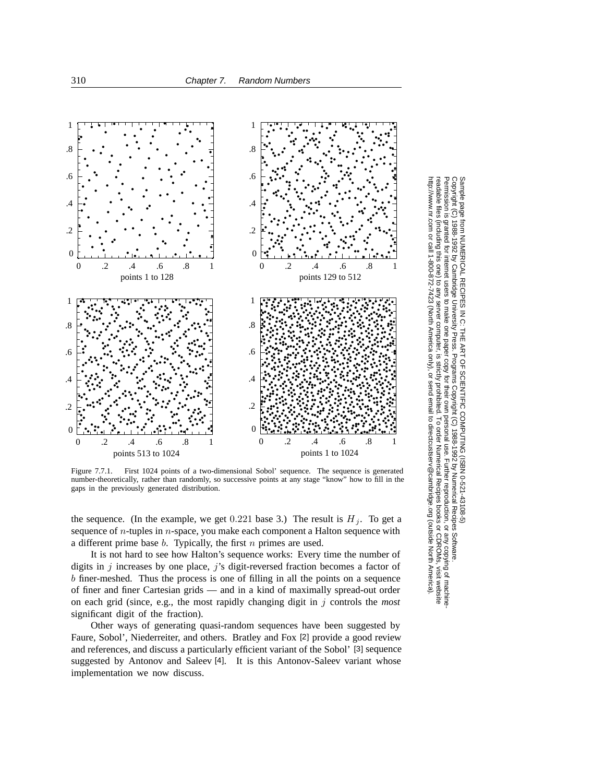

Figure 7.7.1. First 1024 points of a two-dimensional Sobol' sequence. The sequence is generated number-theoretically, rather than randomly, so successive points at any stage "know" how to fill in the gaps in the previously generated distribution.

the sequence. (In the example, we get 0.221 base 3.) The result is  $H_j$ . To get a sequence of *n*-tuples in *n*-space, you make each component a Halton sequence with a different prime base *b*. Typically, the first *n* primes are used.

It is not hard to see how Halton's sequence works: Every time the number of digits in *j* increases by one place, *j*'s digit-reversed fraction becomes a factor of *b* finer-meshed. Thus the process is one of filling in all the points on a sequence of finer and finer Cartesian grids — and in a kind of maximally spread-out order on each grid (since, e.g., the most rapidly changing digit in *j* controls the *most* significant digit of the fraction).

Other ways of generating quasi-random sequences have been suggested by Faure, Sobol', Niederreiter, and others. Bratley and Fox [2] provide a good review and references, and discuss a particularly efficient variant of the Sobol' [3] sequence suggested by Antonov and Saleev [4]. It is this Antonov-Saleev variant whose implementation we now discuss.

Copyright (C) 1988-1992 by Cambridge University Press.Sample page from NUMERICAL RECIPES IN C: THE ART OF SCIENTIFIC COMPUTING (ISBN 0-521-43108-5) http://www.nr.com or call 1-800-872-7423 (North America only),readable files (including this one) to any serverPermission is granted for internet users to make one paper copy for their own personal use. Further reproduction, or any copyin ttp://www.nr.com or call 1-800-872-7423 (North America only), or send email to directcustserv@cambridge.org (outside North America) eadable files -righty anple page  $\bar{a}$ (including this one) granted rom NUMERICAL RECIPES IN C: THE 1992 by Cambridge for internet users to any server computer, is strictly prohibited to make one paper copy for their own University Press. Programs computer, is strictly prohibited. To order Numerical Recipes booksART OF SCIENTIFIC COMPUTING Programs Copyright (C) 1988-1992 by Numerical Recipes Software. or send email to directcustserv@cambridge.org (outside North America). Copyright personal use. Further reproduction, or any copying of machine.<br>. To order Numerical Recipes books or CDROMs, visit website  $\widehat{O}$ PUTING (ISBN 0-521-43108-5)<br>1988-1992 by Numerical Recipes Software or CDROMs, visit website g of machine-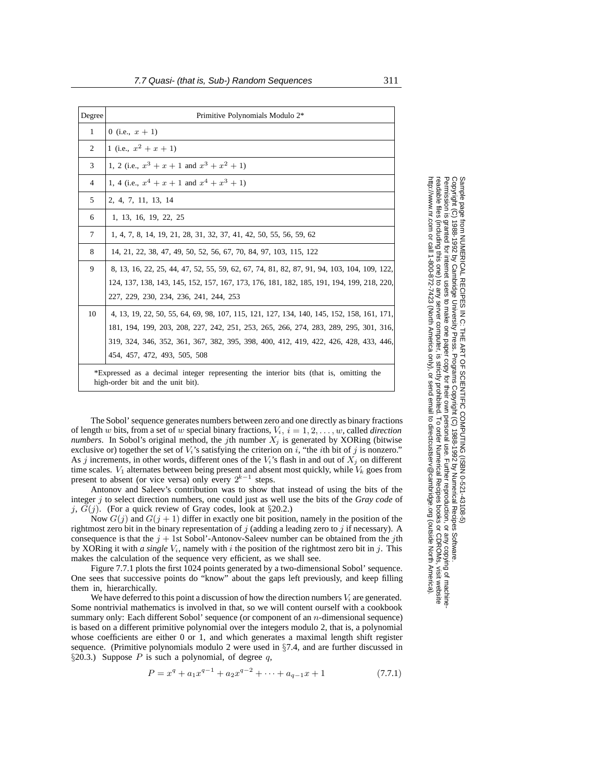| Degree         | Primitive Polynomials Modulo 2*                                                                                                                                                                                                                                                                           |  |  |  |  |  |
|----------------|-----------------------------------------------------------------------------------------------------------------------------------------------------------------------------------------------------------------------------------------------------------------------------------------------------------|--|--|--|--|--|
| 1              | 0 (i.e., $x + 1$ )                                                                                                                                                                                                                                                                                        |  |  |  |  |  |
| 2              | 1 (i.e., $x^2 + x + 1$ )                                                                                                                                                                                                                                                                                  |  |  |  |  |  |
| 3              | 1, 2 (i.e., $x^3 + x + 1$ and $x^3 + x^2 + 1$ )                                                                                                                                                                                                                                                           |  |  |  |  |  |
| $\overline{4}$ | 1, 4 (i.e., $x^4 + x + 1$ and $x^4 + x^3 + 1$ )                                                                                                                                                                                                                                                           |  |  |  |  |  |
| 5              | 2, 4, 7, 11, 13, 14                                                                                                                                                                                                                                                                                       |  |  |  |  |  |
| 6              | 1, 13, 16, 19, 22, 25                                                                                                                                                                                                                                                                                     |  |  |  |  |  |
| 7              | 1, 4, 7, 8, 14, 19, 21, 28, 31, 32, 37, 41, 42, 50, 55, 56, 59, 62                                                                                                                                                                                                                                        |  |  |  |  |  |
| 8              | 14, 21, 22, 38, 47, 49, 50, 52, 56, 67, 70, 84, 97, 103, 115, 122                                                                                                                                                                                                                                         |  |  |  |  |  |
| 9              | 8, 13, 16, 22, 25, 44, 47, 52, 55, 59, 62, 67, 74, 81, 82, 87, 91, 94, 103, 104, 109, 122,<br>124, 137, 138, 143, 145, 152, 157, 167, 173, 176, 181, 182, 185, 191, 194, 199, 218, 220,<br>227, 229, 230, 234, 236, 241, 244, 253                                                                         |  |  |  |  |  |
| 10             | 4, 13, 19, 22, 50, 55, 64, 69, 98, 107, 115, 121, 127, 134, 140, 145, 152, 158, 161, 171,<br>181, 194, 199, 203, 208, 227, 242, 251, 253, 265, 266, 274, 283, 289, 295, 301, 316,<br>319, 324, 346, 352, 361, 367, 382, 395, 398, 400, 412, 419, 422, 426, 428, 433, 446,<br>454, 457, 472, 493, 505, 508 |  |  |  |  |  |
|                | *Expressed as a decimal integer representing the interior bits (that is, omitting the<br>high-order bit and the unit bit).                                                                                                                                                                                |  |  |  |  |  |

The Sobol'sequence generates numbers between zero and one directly as binary fractions of length w bits, from a set of w special binary fractions,  $V_i$ ,  $i = 1, 2, \ldots, w$ , called *direction numbers*. In Sobol's original method, the *j*th number  $X_j$  is generated by XORing (bitwise exclusive or) together the set of  $V_i$ 's satisfying the criterion on i, "the ith bit of j is nonzero." As j increments, in other words, different ones of the  $V_i$ 's flash in and out of  $X_j$  on different time scales.  $V_1$  alternates between being present and absent most quickly, while  $V_k$  goes from present to absent (or vice versa) only every  $2^{k-1}$  steps.

Antonov and Saleev's contribution was to show that instead of using the bits of the integer j to select direction numbers, one could just as well use the bits of the *Gray code* of j,  $G(j)$ . (For a quick review of Gray codes, look at §20.2.)

Now  $G(j)$  and  $G(j + 1)$  differ in exactly one bit position, namely in the position of the rightmost zero bit in the binary representation of  $j$  (adding a leading zero to  $j$  if necessary). A consequence is that the  $j + 1$ st Sobol'-Antonov-Saleev number can be obtained from the jth by XORing it with *a single*  $V_i$ , namely with *i* the position of the rightmost zero bit in *j*. This makes the calculation of the sequence very efficient, as we shall see.

Figure 7.7.1 plots the first 1024 points generated by a two-dimensional Sobol' sequence. One sees that successive points do "know" about the gaps left previously, and keep filling them in, hierarchically.

We have deferred to this point a discussion of how the direction numbers  $V_i$  are generated. Some nontrivial mathematics is involved in that, so we will content ourself with a cookbook summary only: Each different Sobol' sequence (or component of an  $n$ -dimensional sequence) is based on a different primitive polynomial over the integers modulo 2, that is, a polynomial whose coefficients are either 0 or 1, and which generates a maximal length shift register sequence. (Primitive polynomials modulo 2 were used in §7.4, and are further discussed in §20.3.) Suppose  $P$  is such a polynomial, of degree  $q$ ,

$$
P = x^{q} + a_{1}x^{q-1} + a_{2}x^{q-2} + \dots + a_{q-1}x + 1
$$
\n(7.7.1)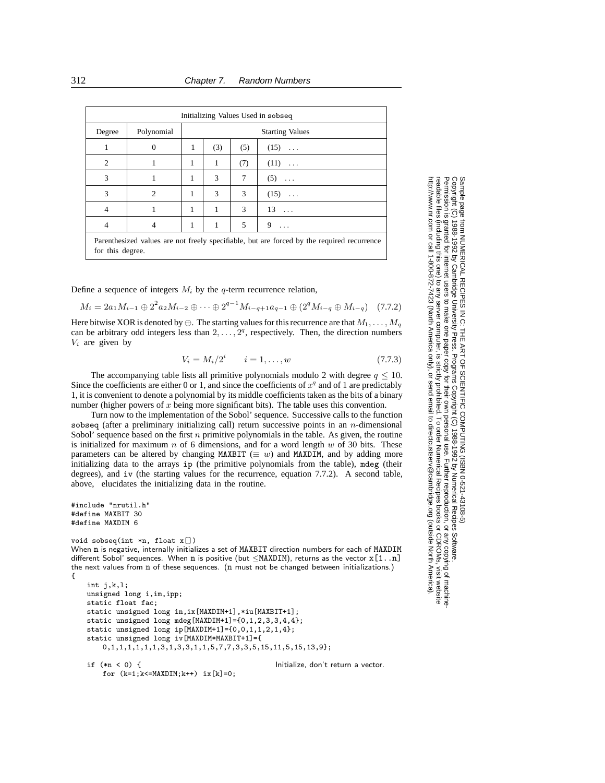| Initializing Values Used in sobseq                                                                             |                |                        |               |     |                |  |  |
|----------------------------------------------------------------------------------------------------------------|----------------|------------------------|---------------|-----|----------------|--|--|
| Degree                                                                                                         | Polynomial     | <b>Starting Values</b> |               |     |                |  |  |
|                                                                                                                | $\Omega$       | 1                      | (3)           | (5) | $(15) \ldots$  |  |  |
| $\overline{2}$                                                                                                 |                | 1                      | 1             | (7) | $(11) \ldots$  |  |  |
| 3                                                                                                              |                |                        | $\mathcal{R}$ | 7   | $(5) \ldots$   |  |  |
| 3                                                                                                              | $\mathfrak{D}$ |                        | $\mathcal{R}$ | 3   | $(15) \ldots$  |  |  |
| $\overline{4}$                                                                                                 |                |                        |               | 3   | $13 \ldots$    |  |  |
| 4                                                                                                              |                |                        |               | 5   | 9<br>$\cdot$ . |  |  |
| Parenthesized values are not freely specifiable, but are forced by the required recurrence<br>for this degree. |                |                        |               |     |                |  |  |

Define a sequence of integers  $M_i$  by the q-term recurrence relation,

$$
M_i = 2a_1 M_{i-1} \oplus 2^2 a_2 M_{i-2} \oplus \cdots \oplus 2^{q-1} M_{i-q+1} a_{q-1} \oplus (2^q M_{i-q} \oplus M_{i-q}) \quad (7.7.2)
$$

Here bitwise XOR is denoted by  $\oplus$ . The starting values for this recurrence are that  $M_1, \ldots, M_q$ can be arbitrary odd integers less than  $2, \ldots, 2^q$ , respectively. Then, the direction numbers  $V_i$  are given by

$$
V_i = M_i/2^i \qquad i = 1, ..., w \tag{7.7.3}
$$

The accompanying table lists all primitive polynomials modulo 2 with degree  $q \leq 10$ . Since the coefficients are either 0 or 1, and since the coefficients of  $x<sup>q</sup>$  and of 1 are predictably 1, it is convenient to denote a polynomial by its middle coefficients taken as the bits of a binary number (higher powers of  $x$  being more significant bits). The table uses this convention.

Turn now to the implementation of the Sobol' sequence. Successive calls to the function sobseq (after a preliminary initializing call) return successive points in an  $n$ -dimensional Sobol' sequence based on the first  $n$  primitive polynomials in the table. As given, the routine is initialized for maximum  $n$  of 6 dimensions, and for a word length  $w$  of 30 bits. These parameters can be altered by changing MAXBIT ( $\equiv w$ ) and MAXDIM, and by adding more initializing data to the arrays ip (the primitive polynomials from the table), mdeg (their degrees), and iv (the starting values for the recurrence, equation 7.7.2). A second table, above, elucidates the initializing data in the routine.

```
#include "nrutil.h"
#define MAXBIT 30
#define MAXDIM 6
```
void sobseq(int \*n, float x[]) When n is negative, internally initializes a set of MAXBIT direction numbers for each of MAXDIM different Sobol' sequences. When n is positive (but  $\leq$ MAXDIM), returns as the vector x[1..n] the next values from n of these sequences. (n must not be changed between initializations.) {

```
int j,k,l;
unsigned long i,im,ipp;
static float fac;
static unsigned long in,ix[MAXDIM+1],*iu[MAXBIT+1];
static unsigned long mdeg[MAXDIM+1]={0,1,2,3,3,4,4};
static unsigned long ip[MAXDIM+1]={0,0,1,1,2,1,4};
static unsigned long iv[MAXDIM*MAXBIT+1]={
   0,1,1,1,1,1,1,3,1,3,3,1,1,5,7,7,3,3,5,15,11,5,15,13,9};
if (*n < 0) { Initialize, don't return a vector.
```
for  $(k=1; k<=MAXDIM; k++)$   $ix[k]=0;$ 

Sample page<br>Copyright (C) Copyright (C) 1988-1992 by Cambridge University Press.Sample page from NUMERICAL RECIPES IN C: THE ART OF SCIENTIFIC COMPUTING (ISBN 0-521-43108-5) http://www.nr.com or call 1-800-872-7423 (North America only),readable files (including this one) to any serverPermission is granted for internet users to make one paper copy for their own personal use. Further reproduction, or any copyin Permission is from NUMERICAL RECIPES IN C: THE ART OF SCIENTIFIC COMPUTING (ISBN 0-521-43108-5)<br>11988-1992 by Cambridge University Press. Programs Copyright (C) 1988-1992 by Numerical Recipes Software.<br>9 granted for internet users to ma computer, is strictly prohibited. To order Numerical Recipes booksPrograms Copyright (C) 1988-1992 by Numerical Recipes Software. or send email to directcustserv@cambridge.org (outside North America). or CDROMs, visit website g of machine-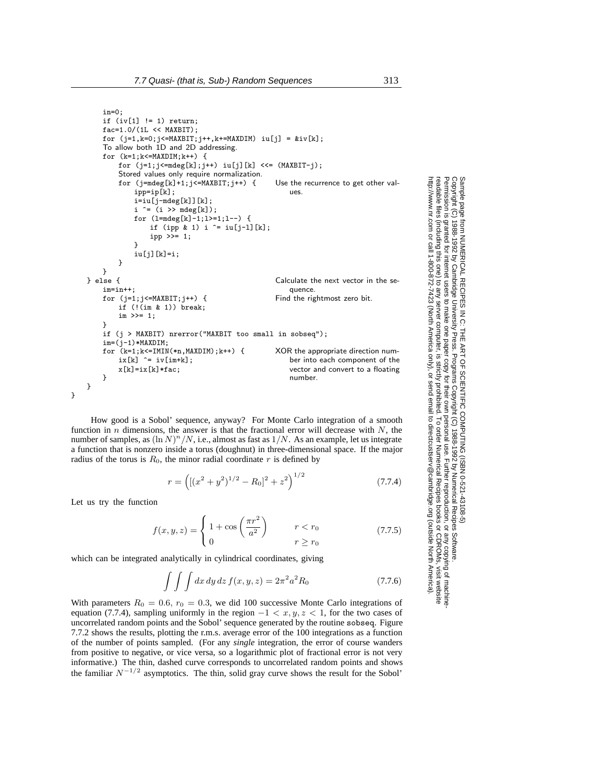```
in=0;
   if (iv[1] != 1) return;
   fac=1.0/(1L \ll MAXBIT);
   for (j=1, k=0; j<=MAXBIT; j++, k+=MAXDIM) iu[j] = kiv[k];To allow both 1D and 2D addressing.
   for (k=1;k<=MAXDIM;k++) {
       for (j=1;j<=mdeg[k];j++) iu[j][k] <<= (MAXBIT-j);Stored values only require normalization.
       for (j=mdeg[k]+1;j<=MAXBIT;j++) { Use the recurrence to get other val-
          ipp=ip[k]; ues.
          i=iu[j-mdeg[k]][k];
          i ^= (i >> mdeg[k]);
          for (l=mdeg[k]-1;l>=1;l--) {
              if (ipp \& 1) i \hat{i} = iu[j-l][k];
              ipp >>= 1;
          }
          iu[j][k]=i;
       }
   }
} else { Calculate the next vector in the se-
   im=in++; quence.
   for (j=1;j<=MAXBIT;j++) {
       if (!(im & 1)) break;
       im >>= 1;
   }
   if (j > MAXBIT) nrerror("MAXBIT too small in sobseq");
   im=(i-1)*MAXDIM;for (k=1; k<=IMIN(*n, MAXDIM); k++) { XOR the appropriate direction num-
                                              ber into each component of the
                                             vector and convert to a floating
                                             number.
       ix[k] ^= iv(im+k];x[k]=ix[k]*fac;}
}
```
How good is a Sobol' sequence, anyway? For Monte Carlo integration of a smooth function in  $n$  dimensions, the answer is that the fractional error will decrease with  $N$ , the number of samples, as  $(\ln N)^n/N$ , i.e., almost as fast as  $1/N$ . As an example, let us integrate a function that is nonzero inside a torus (doughnut) in three-dimensional space. If the major radius of the torus is  $R_0$ , the minor radial coordinate r is defined by

$$
r = \left( \left[ (x^2 + y^2)^{1/2} - R_0 \right]^2 + z^2 \right)^{1/2} \tag{7.7.4}
$$

Let us try the function

}

$$
f(x,y,z) = \begin{cases} 1 + \cos\left(\frac{\pi r^2}{a^2}\right) & r < r_0 \\ 0 & r \ge r_0 \end{cases} \tag{7.7.5}
$$

which can be integrated analytically in cylindrical coordinates, giving

$$
\int \int \int dx \, dy \, dz \, f(x, y, z) = 2\pi^2 a^2 R_0 \tag{7.7.6}
$$

With parameters  $R_0 = 0.6$ ,  $r_0 = 0.3$ , we did 100 successive Monte Carlo integrations of equation (7.7.4), sampling uniformly in the region  $-1 < x, y, z < 1$ , for the two cases of uncorrelated random points and the Sobol' sequence generated by the routine sobseq. Figure 7.7.2 shows the results, plotting the r.m.s. average error of the 100 integrations as a function of the number of points sampled. (For any *single* integration, the error of course wanders from positive to negative, or vice versa, so a logarithmic plot of fractional error is not very informative.) The thin, dashed curve corresponds to uncorrelated random points and shows the familiar  $N^{-1/2}$  asymptotics. The thin, solid gray curve shows the result for the Sobol'

Permission is granted for internet users to make one paper copy for their own personal use. Further reproduction, or any copyin

computer, is strictly prohibited. To order Numerical Recipes books

or send email to directcustserv@cambridge.org (outside North America).

Sample page from NUMERICAL RECIPES IN C: THE ART OF SCIENTIFIC COMPUTING (ISBN 0-521-43108-5)

Programs Copyright (C) 1988-1992 by Numerical Recipes Software.

g of machine-

or CDROMs, visit website

Copyright (C) 1988-1992 by Cambridge University Press.

readable files (including this one) to any server

http://www.nr.com or call 1-800-872-7423 (North America only),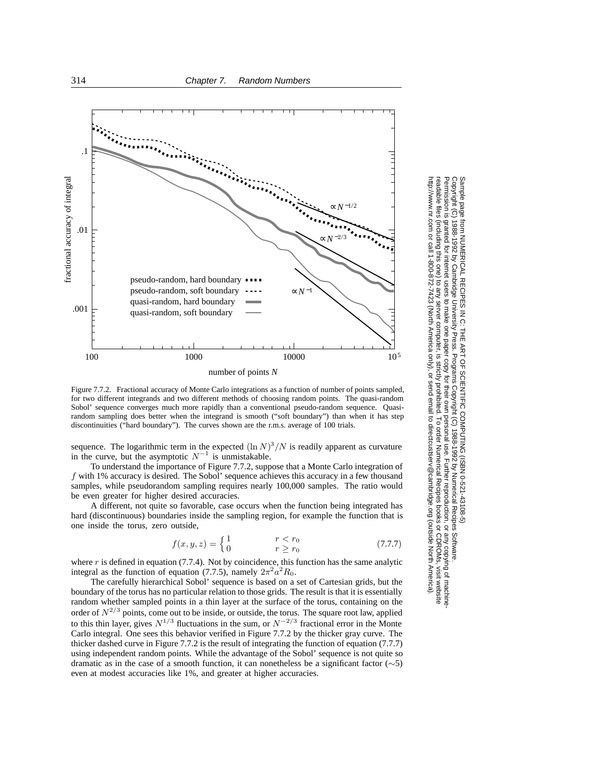

Figure 7.7.2. Fractional accuracy of Monte Carlo integrations as a function of number of points sampled, for two different integrands and two different methods of choosing random points. The quasi-random Sobol' sequence converges much more rapidly than a conventional pseudo-random sequence. Quasirandom sampling does better when the integrand is smooth ("soft boundary") than when it has step discontinuities ("hard boundary"). The curves shown are the r.m.s. average of 100 trials.

sequence. The logarithmic term in the expected  $(\ln N)^3/N$  is readily apparent as curvature in the curve, but the asymptotic  $N^{-1}$  is unmistakable.

To understand the importance of Figure 7.7.2, suppose that a Monte Carlo integration of f with 1% accuracy is desired. The Sobol' sequence achieves this accuracy in a few thousand samples, while pseudorandom sampling requires nearly 100,000 samples. The ratio would be even greater for higher desired accuracies.

A different, not quite so favorable, case occurs when the function being integrated has hard (discontinuous) boundaries inside the sampling region, for example the function that is one inside the torus, zero outside,

$$
f(x,y,z) = \begin{cases} 1 & r < r_0 \\ 0 & r \ge r_0 \end{cases} \tag{7.7.7}
$$

where  $r$  is defined in equation (7.7.4). Not by coincidence, this function has the same analytic integral as the function of equation (7.7.5), namely  $2\pi^2 a^2 R_0$ .

The carefully hierarchical Sobol' sequence is based on a set of Cartesian grids, but the boundary of the torus has no particular relation to those grids. The result is that it is essentially random whether sampled points in a thin layer at the surface of the torus, containing on the order of  $N^{2/3}$  points, come out to be inside, or outside, the torus. The square root law, applied to this thin layer, gives  $N^{1/3}$  fluctuations in the sum, or  $N^{-2/3}$  fractional error in the Monte Carlo integral. One sees this behavior verified in Figure 7.7.2 by the thicker gray curve. The thicker dashed curve in Figure 7.7.2 is the result of integrating the function of equation (7.7.7) using independent random points. While the advantage of the Sobol' sequence is not quite so dramatic as in the case of a smooth function, it can nonetheless be a significant factor (∼5) even at modest accuracies like 1%, and greater at higher accuracies.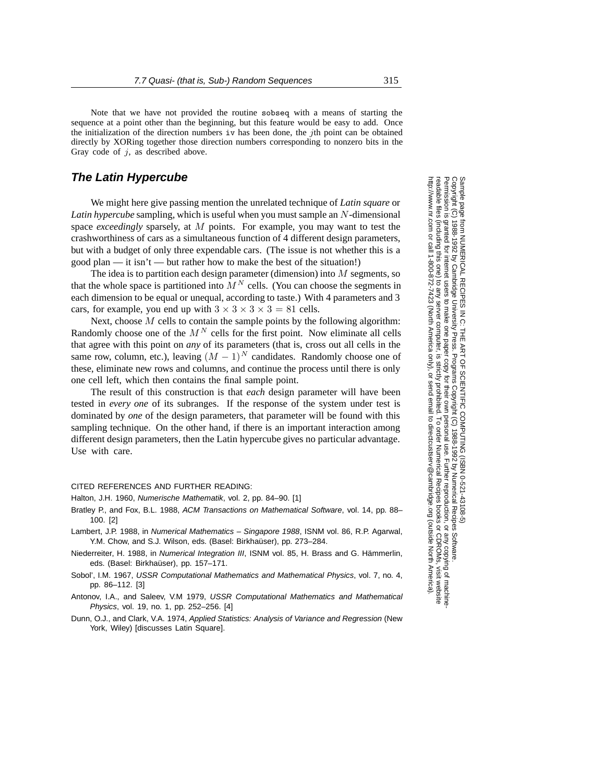Note that we have not provided the routine sobseq with a means of starting the sequence at a point other than the beginning, but this feature would be easy to add. Once the initialization of the direction numbers  $i\nu$  has been done, the *j*th point can be obtained directly by XORing together those direction numbers corresponding to nonzero bits in the Gray code of  $j$ , as described above.

### **The Latin Hypercube**

We might here give passing mention the unrelated technique of *Latin square* or *Latin hypercube* sampling, which is useful when you must sample an *N*-dimensional space *exceedingly* sparsely, at *M* points. For example, you may want to test the crashworthiness of cars as a simultaneous function of 4 different design parameters, but with a budget of only three expendable cars. (The issue is not whether this is a good plan — it isn't — but rather how to make the best of the situation!)

The idea is to partition each design parameter (dimension) into *M* segments, so that the whole space is partitioned into  $M<sup>N</sup>$  cells. (You can choose the segments in each dimension to be equal or unequal, according to taste.) With 4 parameters and 3 cars, for example, you end up with  $3 \times 3 \times 3 \times 3 = 81$  cells.

Next, choose *M* cells to contain the sample points by the following algorithm: Randomly choose one of the  $M<sup>N</sup>$  cells for the first point. Now eliminate all cells that agree with this point on *any* of its parameters (that is, cross out all cells in the same row, column, etc.), leaving  $(M-1)^N$  candidates. Randomly choose one of these, eliminate new rows and columns, and continue the process until there is only one cell left, which then contains the final sample point.

The result of this construction is that *each* design parameter will have been tested in *every one* of its subranges. If the response of the system under test is dominated by *one* of the design parameters, that parameter will be found with this sampling technique. On the other hand, if there is an important interaction among different design parameters, then the Latin hypercube gives no particular advantage. Use with care.

#### CITED REFERENCES AND FURTHER READING:

Halton, J.H. 1960, Numerische Mathematik, vol. 2, pp. 84–90. [1]

- Bratley P., and Fox, B.L. 1988, ACM Transactions on Mathematical Software, vol. 14, pp. 88– 100. [2]
- Lambert, J.P. 1988, in Numerical Mathematics Singapore 1988, ISNM vol. 86, R.P. Agarwal, Y.M. Chow, and S.J. Wilson, eds. (Basel: Birkhaüser), pp. 273-284.
- Niederreiter, H. 1988, in Numerical Integration III, ISNM vol. 85, H. Brass and G. Hämmerlin, eds. (Basel: Birkhaüser), pp. 157-171.
- Sobol', I.M. 1967, USSR Computational Mathematics and Mathematical Physics, vol. 7, no. 4, pp. 86–112. [3]
- Antonov, I.A., and Saleev, V.M 1979, USSR Computational Mathematics and Mathematical Physics, vol. 19, no. 1, pp. 252–256. [4]
- Dunn, O.J., and Clark, V.A. 1974, Applied Statistics: Analysis of Variance and Regression (New York, Wiley) [discusses Latin Square].